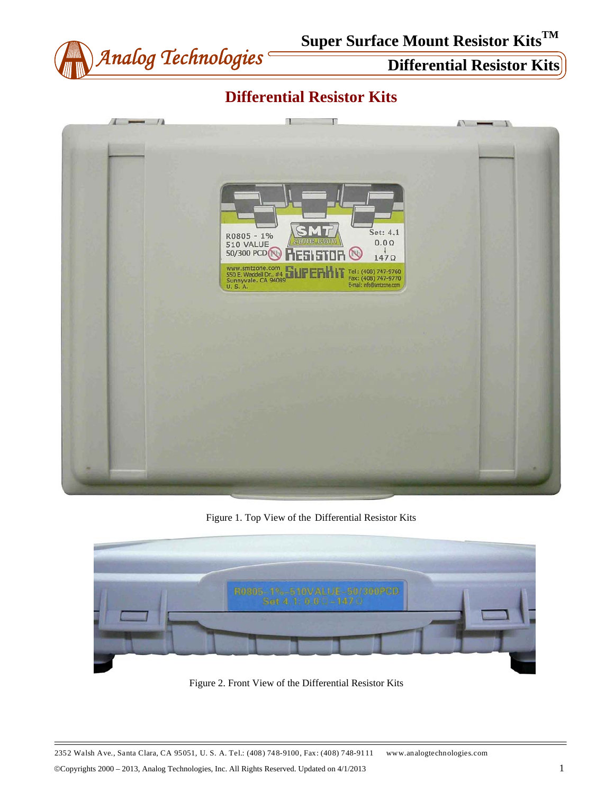

## **Differential Resistor Kits**



Figure 1. Top View of the Differential Resistor Kits



Figure 2. Front View of the Differential Resistor Kits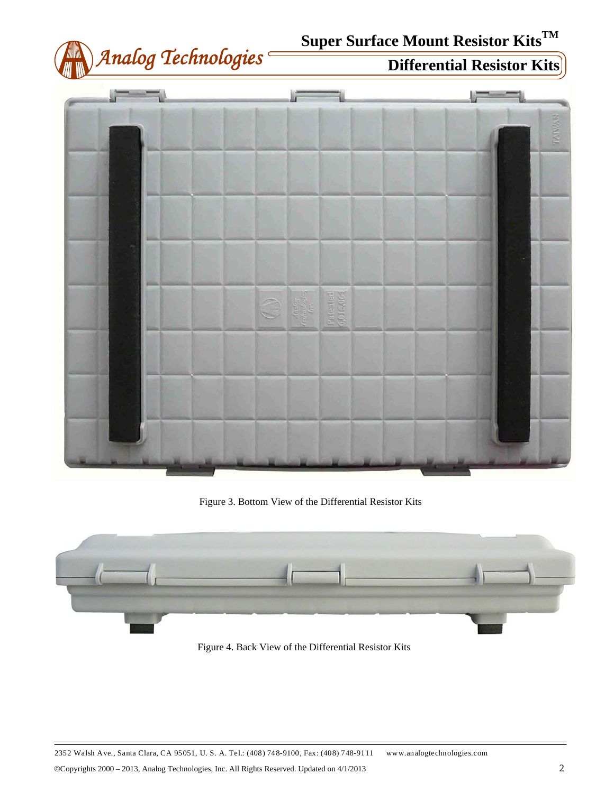





Figure 3. Bottom View of the Differential Resistor Kits



Figure 4. Back View of the Differential Resistor Kits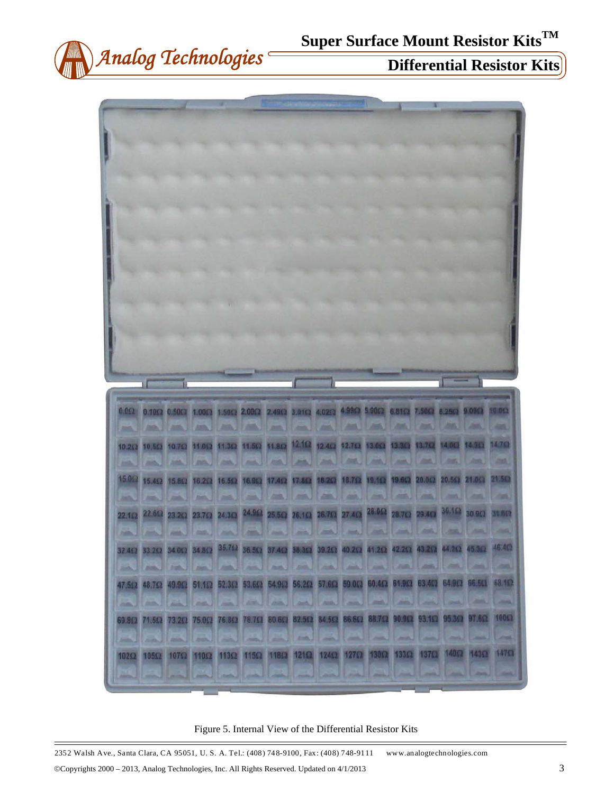





Figure 5. Internal View of the Differential Resistor Kits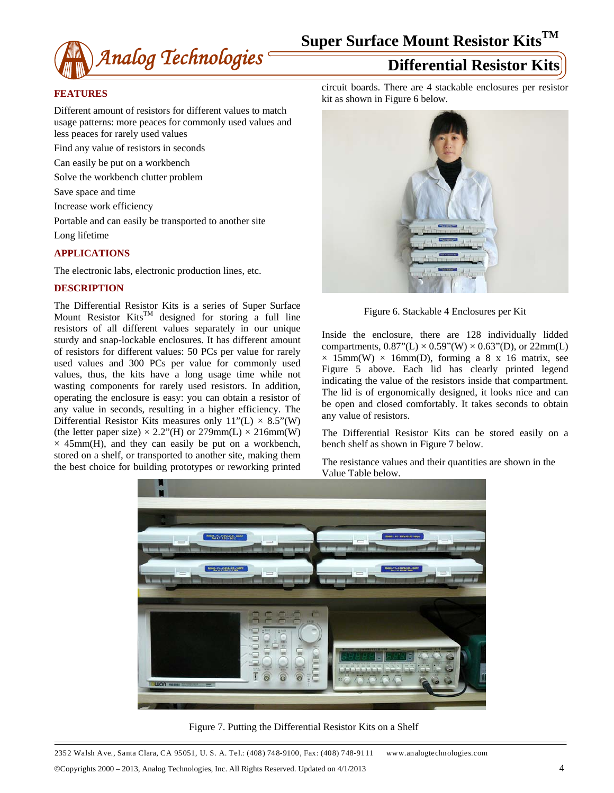

### **FEATURES**

Different amount of resistors for different values to match usage patterns: more peaces for commonly used values and less peaces for rarely used values

Find any value of resistors in seconds

Can easily be put on a workbench

Solve the workbench clutter problem

Save space and time

Increase work efficiency

Portable and can easily be transported to another site Long lifetime

### **APPLICATIONS**

The electronic labs, electronic production lines, etc.

### **DESCRIPTION**

The Differential Resistor Kits is a series of Super Surface Mount Resistor Kits<sup>TM</sup> designed for storing a full line resistors of all different values separately in our unique sturdy and snap-lockable enclosures. It has different amount of resistors for different values: 50 PCs per value for rarely used values and 300 PCs per value for commonly used values, thus, the kits have a long usage time while not wasting components for rarely used resistors. In addition, operating the enclosure is easy: you can obtain a resistor of any value in seconds, resulting in a higher efficiency. The Differential Resistor Kits measures only  $11"$ (L)  $\times$  8.5"(W) (the letter paper size)  $\times$  2.2"(H) or 279mm(L)  $\times$  216mm(W)  $\times$  45mm(H), and they can easily be put on a workbench, stored on a shelf, or transported to another site, making them the best choice for building prototypes or reworking printed

circuit boards. There are 4 stackable enclosures per resistor kit as shown in Figure 6 below.



Figure 6. Stackable 4 Enclosures per Kit

Inside the enclosure, there are 128 individually lidded compartments,  $0.87$ "(L) ×  $0.59$ "(W) ×  $0.63$ "(D), or 22mm(L)  $\times$  15mm(W)  $\times$  16mm(D), forming a 8 x 16 matrix, see Figure 5 above. Each lid has clearly printed legend indicating the value of the resistors inside that compartment. The lid is of ergonomically designed, it looks nice and can be open and closed comfortably. It takes seconds to obtain any value of resistors.

The Differential Resistor Kits can be stored easily on a bench shelf as shown in Figure 7 below.

The resistance values and their quantities are shown in the Value Table below.



Figure 7. Putting the Differential Resistor Kits on a Shelf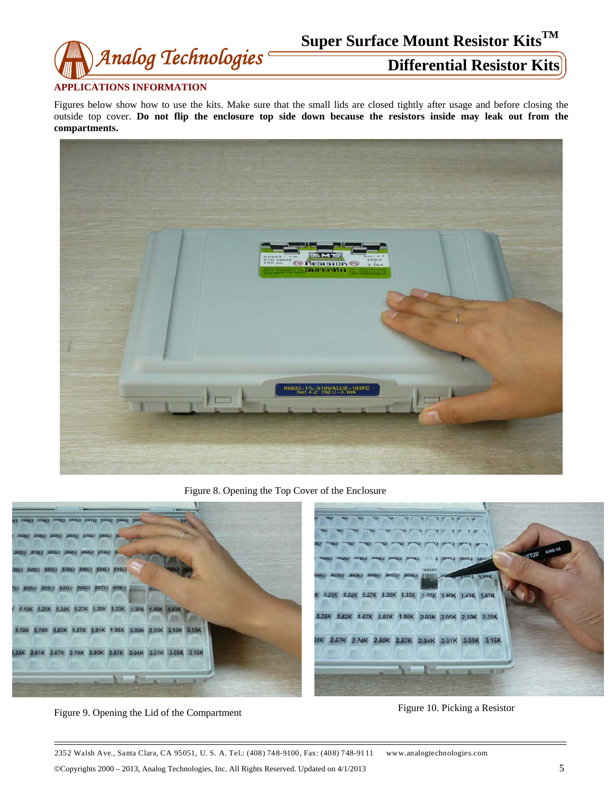

### **APPLICATIONS INFORMATION**

Figures below show how to use the kits. Make sure that the small lids are closed tightly after usage and before closing the outside top cover. **Do not flip the enclosure top side down because the resistors inside may leak out from the compartments.**



Figure 8. Opening the Top Cover of the Enclosure



Figure 9. Opening the Lid of the Compartment Figure 10. Picking a Resistor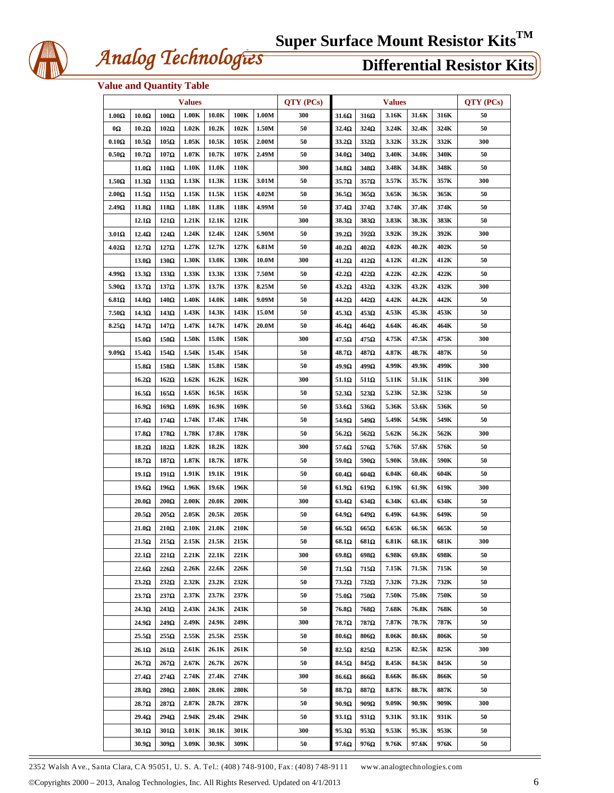

## *Analog Technologies* **Differential Resistor Kits**

## **Value and Quantity Table**

|               | <b>Values</b>     |             |                  |                  |      |       |     | <b>Values</b>     |              |       |       | QTY (PCs) |     |
|---------------|-------------------|-------------|------------------|------------------|------|-------|-----|-------------------|--------------|-------|-------|-----------|-----|
| $1.00\Omega$  | $10.0\Omega$      | $100\Omega$ | 1.00K            | 10.0K            | 100K | 1.00M | 300 | $31.6\Omega$      | $316\Omega$  | 3.16K | 31.6K | 316K      | 50  |
| 0Ω            | $10.2\Omega$      | $102\Omega$ | 1.02K            | 10.2K            | 102K | 1.50M | 50  | $32.4\Omega$      | $324\Omega$  | 3.24K | 32.4K | 324K      | 50  |
| $0.10\Omega$  | $10.5\Omega$      | $105\Omega$ | 1.05K            | 10.5K            | 105K | 2.00M | 50  | $33.2\Omega$      | $332\Omega$  | 3.32K | 33.2K | 332K      | 300 |
| $0.50\Omega$  | $10.7\Omega$      | $107\Omega$ | 1.07K            | 10.7K            | 107K | 2.49M | 50  | $34.0\Omega$      | $340\Omega$  | 3.40K | 34.0K | 340K      | 50  |
|               | 11.0Ω             | $110\Omega$ | 1.10K            | 11.0K            | 110K |       | 300 | $34.8\Omega$      | $348\Omega$  | 3.48K | 34.8K | 348K      | 50  |
| $1.50\Omega$  | $11.3\Omega$      | $113\Omega$ | 1.13K            | 11.3K            | 113K | 3.01M | 50  | 35.7 <sub>Ω</sub> | $357\Omega$  | 3.57K | 35.7K | 357K      | 300 |
| $2.00\Omega$  | $11.5\Omega$      | $115\Omega$ | 1.15K            | 11.5K            | 115K | 4.02M | 50  | $36.5\Omega$      | $365\Omega$  | 3.65K | 36.5K | 365K      | 50  |
| 2.49Ω         | $11.8\Omega$      | $118\Omega$ | 1.18K            | 11.8K            | 118K | 4.99M | 50  | $37.4\Omega$      | $374\Omega$  | 3.74K | 37.4K | 374K      | 50  |
|               | $12.1\Omega$      | $121\Omega$ | 1.21K            | 12.1K            | 121K |       | 300 | $38.3\Omega$      | 383Ω         | 3.83K | 38.3K | 383K      | 50  |
| 3.01Ω         | $12.4\Omega$      | 124Ω        | 1.24K            | 12.4K            | 124K | 5.90M | 50  | $39.2\Omega$      | $392\Omega$  | 3.92K | 39.2K | 392K      | 300 |
| $4.02\Omega$  | $12.7\Omega$      | $127\Omega$ | 1.27K            | 12.7K            | 127K | 6.81M | 50  | $40.2\Omega$      | $402\Omega$  | 4.02K | 40.2K | 402K      | 50  |
|               | $13.0\Omega$      | $130\Omega$ | 1.30K            | 13.0K            | 130K | 10.0M | 300 | $41.2\Omega$      | $412\Omega$  | 4.12K | 41.2K | 412K      | 50  |
| 4.99Ω         | $13.3\Omega$      | $133\Omega$ | 1.33K            | 13.3K            | 133K | 7.50M | 50  | $42.2\Omega$      | $422\Omega$  | 4.22K | 42.2K | 422K      | 50  |
| $5.90\Omega$  | $13.7\Omega$      | $137\Omega$ | 1.37K            | 13.7K            | 137K | 8.25M | 50  | $43.2\Omega$      | $432\Omega$  | 4.32K | 43.2K | 432K      | 300 |
| 6.81 $\Omega$ | $14.0\Omega$      | $140\Omega$ | 1.40K            | 14.0K            | 140K | 9.09M | 50  | 44.2Ω             | $442\Omega$  | 4.42K | 44.2K | 442K      | 50  |
| $7.50\Omega$  | $14.3\Omega$      | $143\Omega$ | 1.43K            | 14.3K            | 143K | 15.0M | 50  | $45.3\Omega$      | $453\Omega$  | 4.53K | 45.3K | 453K      | 50  |
| $8.25\Omega$  | 14.7Ω             | 147Ω        | 1.47K            | 14.7K            | 147K | 20.0M | 50  | $46.4\Omega$      | $464\Omega$  | 4.64K | 46.4K | 464K      | 50  |
|               | $15.0\Omega$      | $150\Omega$ | 1.50K            | 15.0K            | 150K |       | 300 | $47.5\Omega$      | 475Ω         | 4.75K | 47.5K | 475K      | 300 |
| $9.09\Omega$  | 15.4Ω             | 154Ω        | 1.54K            | 15.4K            | 154K |       | 50  | 48.7Ω             | 487Ω         | 4.87K | 48.7K | 487K      | 50  |
|               | 15.8Ω             | 158Ω        | 1.58K            | 15.8K            | 158K |       | 50  | 49.9Ω             | 499Ω         | 4.99K | 49.9K | 499K      | 300 |
|               | $16.2\Omega$      | $162\Omega$ | 1.62K            | 16.2K            | 162K |       | 300 | $51.1\Omega$      | $511\Omega$  | 5.11K | 51.1K | 511K      | 300 |
|               | $16.5\Omega$      | $165\Omega$ | 1.65K            | 16.5K            | 165K |       | 50  | $52.3\Omega$      | $523\Omega$  | 5.23K | 52.3K | 523K      | 50  |
|               | $16.9\Omega$      | $169\Omega$ | 1.69K            | 16.9K            | 169K |       | 50  | $53.6\Omega$      | $536\Omega$  | 5.36K | 53.6K | 536K      | 50  |
|               | 17.4Ω             | $174\Omega$ | 1.74K            | 17.4K            | 174K |       | 50  | 54.9 $\Omega$     | 549 $\Omega$ | 5.49K | 54.9K | 549K      | 50  |
|               | $17.8\Omega$      | $178\Omega$ | 1.78K            | 17.8K            | 178K |       | 50  | $56.2\Omega$      | $562\Omega$  | 5.62K | 56.2K | 562K      | 300 |
|               | $18.2\Omega$      | $182\Omega$ | 1.82K            | 18.2K            | 182K |       | 300 | 57.6 $\Omega$     | 576 $\Omega$ | 5.76K | 57.6K | 576K      | 50  |
|               | $18.7\Omega$      | 187Ω        | 1.87K            | 18.7K            | 187K |       | 50  | 59.0 $\Omega$     | $590\Omega$  | 5.90K | 59.0K | 590K      | 50  |
|               | $19.1\Omega$      | $191\Omega$ | 1.91K            | 19.1K            | 191K |       | 50  | $60.4\Omega$      | $604\Omega$  | 6.04K | 60.4K | 604K      | 50  |
|               | $19.6\Omega$      | $196\Omega$ | 1.96K            | 19.6K            | 196K |       | 50  | $61.9\Omega$      | $619\Omega$  | 6.19K | 61.9K | 619K      | 300 |
|               | $20.0\Omega$      | $200\Omega$ | 2.00K            | 20.0K            | 200K |       | 300 | $63.4\Omega$      | $634\Omega$  | 6.34K | 63.4K | 634K      | 50  |
|               | $20.5\Omega$      | $205\Omega$ | 2.05K            | 20.5K            | 205K |       | 50  | $64.9\Omega$      | $649\Omega$  | 6.49K | 64.9K | 649K      | 50  |
|               | $21.0\Omega$      | $210\Omega$ | 2.10K            | 21.0K            | 210K |       | 50  | $66.5\Omega$      | $665\Omega$  | 6.65K | 66.5K | 665K      | 50  |
|               | $21.5\Omega$      | $215\Omega$ | $2.15\mathrm{K}$ | $21.5\mathrm{K}$ | 215K |       | 50  | $68.1\Omega$      | $681\Omega$  | 6.81K | 68.1K | 681K      | 300 |
|               | $22.1\Omega$      | $221\Omega$ | 2.21K            | 22.1K            | 221K |       | 300 | $69.8\Omega$      | $698\Omega$  | 6.98K | 69.8K | 698K      | 50  |
|               | 22.6Ω             | $226\Omega$ | 2.26K            | 22.6K            | 226K |       | 50  | $71.5\Omega$      | $715\Omega$  | 7.15K | 71.5K | 715K      | 50  |
|               | $23.2\Omega$      | $232\Omega$ | 2.32K            | 23.2K            | 232K |       | 50  | $73.2\Omega$      | $732\Omega$  | 7.32K | 73.2K | 732K      | 50  |
|               | 23.7 <sub>Ω</sub> | $237\Omega$ | 2.37K            | 23.7K            | 237K |       | 50  | $75.0\Omega$      | $750\Omega$  | 7.50K | 75.0K | 750K      | 50  |
|               | $24.3\Omega$      | 243Ω        | 2.43K            | 24.3K            | 243K |       | 50  | $76.8\Omega$      | $768\Omega$  | 7.68K | 76.8K | 768K      | 50  |
|               | 24.9Ω             | 249Ω        | 2.49K            | 24.9K            | 249K |       | 300 | 78.7Ω             | 787Ω         | 7.87K | 78.7K | 787K      | 50  |
|               | $25.5\Omega$      | $255\Omega$ | 2.55K            | 25.5K            | 255K |       | 50  | $80.6\Omega$      | $806\Omega$  | 8.06K | 80.6K | 806K      | 50  |
|               | $26.1\Omega$      | $261\Omega$ | 2.61K            | 26.1K            | 261K |       | 50  | $82.5\Omega$      | $825\Omega$  | 8.25K | 82.5K | 825K      | 300 |
|               | 26.7Ω             | $267\Omega$ | 2.67K            | 26.7K            | 267K |       | 50  | $84.5\Omega$      | $845\Omega$  | 8.45K | 84.5K | 845K      | 50  |
|               | $27.4\Omega$      | $274\Omega$ | 2.74K            | 27.4K            | 274K |       | 300 | $86.6\Omega$      | $866\Omega$  | 8.66K | 86.6K | 866K      | 50  |
|               | $28.0\Omega$      | $280\Omega$ | 2.80K            | 28.0K            | 280K |       | 50  | $88.7\Omega$      | $887\Omega$  | 8.87K | 88.7K | 887K      | 50  |
|               | $28.7\Omega$      | $287\Omega$ | 2.87K            | 28.7K            | 287K |       | 50  | $90.9\Omega$      | $909\Omega$  | 9.09K | 90.9K | 909K      | 300 |
|               | $29.4\Omega$      | $294\Omega$ | 2.94K            | 29.4K            | 294K |       | 50  | 93.1Ω             | $931\Omega$  | 9.31K | 93.1K | 931K      | 50  |
|               | $30.1\Omega$      | $301\Omega$ | 3.01K            | 30.1K            | 301K |       | 300 | 95.3Ω             | $953\Omega$  | 9.53K | 95.3K | 953K      | 50  |
|               | $30.9\Omega$      | 309Ω        | 3.09K            | 30.9K            | 309K |       | 50  | 97.6Ω             | $976\Omega$  | 9.76K | 97.6K | 976K      | 50  |

2352 Walsh Ave., Santa Clara, CA 95051, U. S. A. Tel.: (408) 748-9100, Fax: (408) 748-9111 www.analogtechnologies.com

Copyrights 2000 – 2013, Analog Technologies, Inc. All Rights Reserved. Updated on 4/1/2013 6